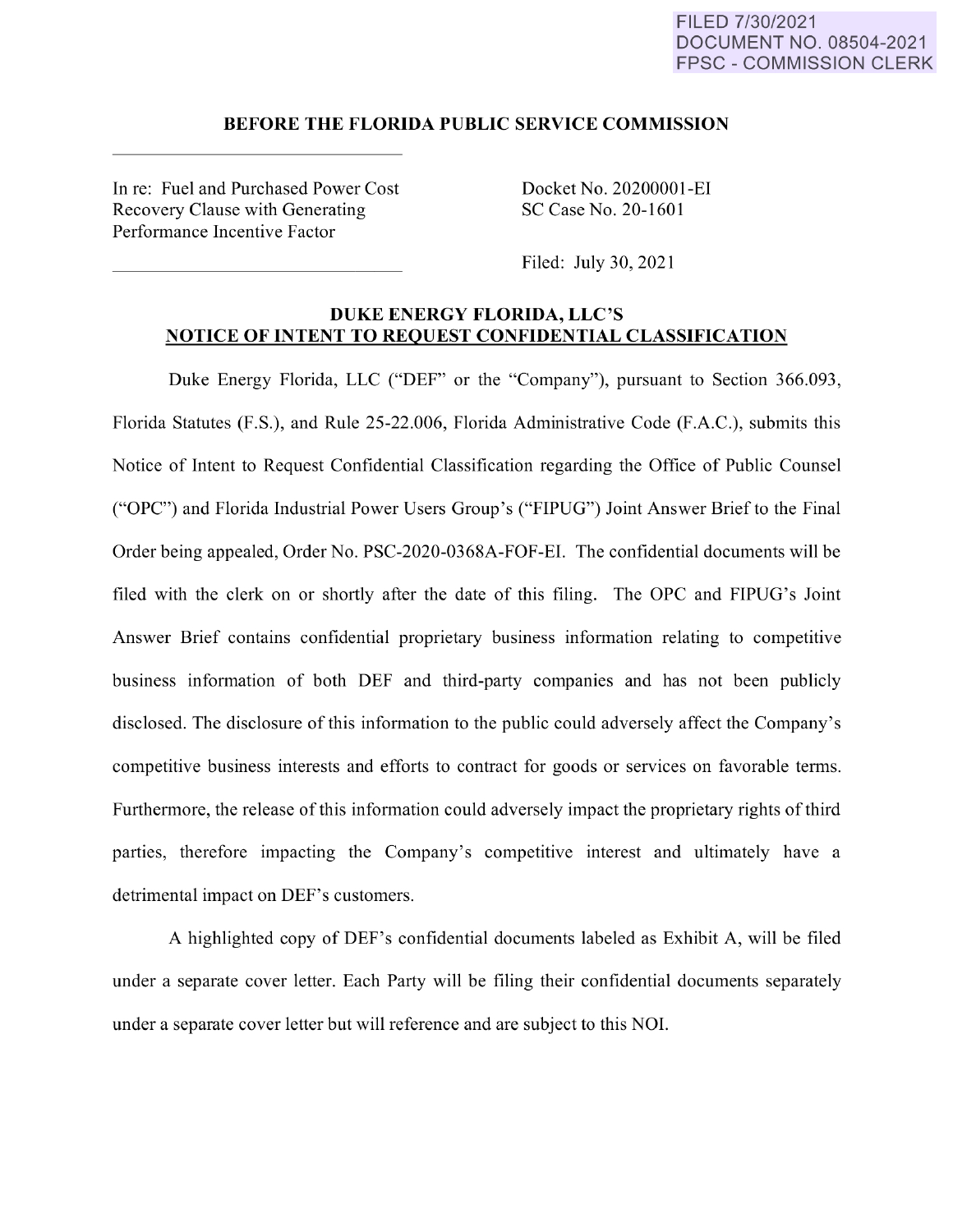### FILED 7/30/2021 DOCUMENT NO. 08504-2021 FPSC - COMMISSION CLERK

#### **BEFORE THE FLORIDA PUBLIC SERVICE COMMISSION**

In re: Fuel and Purchased Power Cost Recovery Clause with Generating Performance Incentive Factor

Docket No. 20200001-EI SC Case No. 20-1601

Filed: July 30, 2021

### **DUKE ENERGY FLORIDA, LLC'S NOTICE OF INTENT TO REQUEST CONFIDENTIAL CLASSIFICATION**

Duke Energy Florida, LLC ("DEF" or the "Company"), pursuant to Section 366.093, Florida Statutes (F.S.), and Rule 25-22.006, Florida Administrative Code (F.A.C.), submits this Notice of Intent to Request Confidential Classification regarding the Office of Public Counsel ("OPC") and Florida Industrial Power Users Group's ("FIPUG") Joint Answer Brief to the Final Order being appealed, Order No. PSC-2020-0368A-FOF-EI. The confidential documents will be filed with the clerk on or shortly after the date of this filing. The OPC and FIPUG's Joint Answer Brief contains confidential proprietary business information relating to competitive business information of both DEF and third-party companies and has not been publicly disclosed. The disclosure of this information to the public could adversely affect the Company's competitive business interests and efforts to contract for goods or services on favorable terms. Furthermore, the release of this information could adversely impact the proprietary rights of third parties, therefore impacting the Company's competitive interest and ultimately have a detrimental impact on DEF's customers.

A highlighted copy of DEF's confidential documents labeled as Exhibit A, will be filed under a separate cover letter. Each Party will be filing their confidential documents separately under a separate cover letter but will reference and are subject to this NOL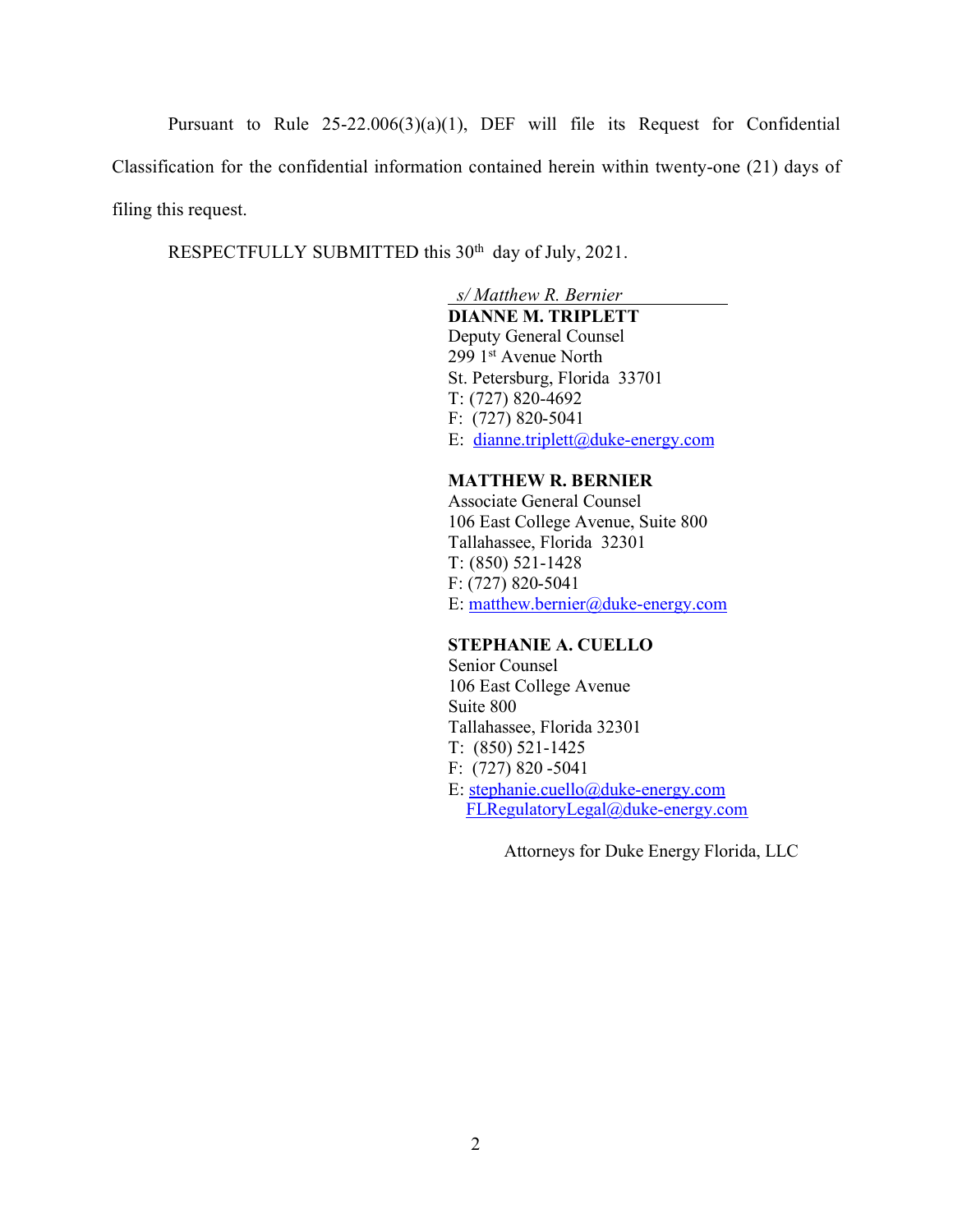Pursuant to Rule 25-22.006(3)(a)(1), DEF will file its Request for Confidential Classification for the confidential information contained herein within twenty-one (21) days of filing this request.

RESPECTFULLY SUBMITTED this 30<sup>th</sup> day of July, 2021.

## *s/ Matthew R. Bernier*

# **DIANNE M. TRIPLETT**

 Deputy General Counsel 299 1st Avenue North St. Petersburg, Florida 33701 T: (727) 820-4692 F: (727) 820-5041 E: dianne.triplett@duke-energy.com

### **MATTHEW R. BERNIER**

Associate General Counsel 106 East College Avenue, Suite 800 Tallahassee, Florida 32301 T: (850) 521-1428 F: (727) 820-5041 E: matthew.bernier@duke-energy.com

### **STEPHANIE A. CUELLO**

 Senior Counsel 106 East College Avenue Suite 800 Tallahassee, Florida 32301 T: (850) 521-1425 F: (727) 820 -5041 E: stephanie.cuello@duke-energy.com FLRegulatoryLegal@duke-energy.com

Attorneys for Duke Energy Florida, LLC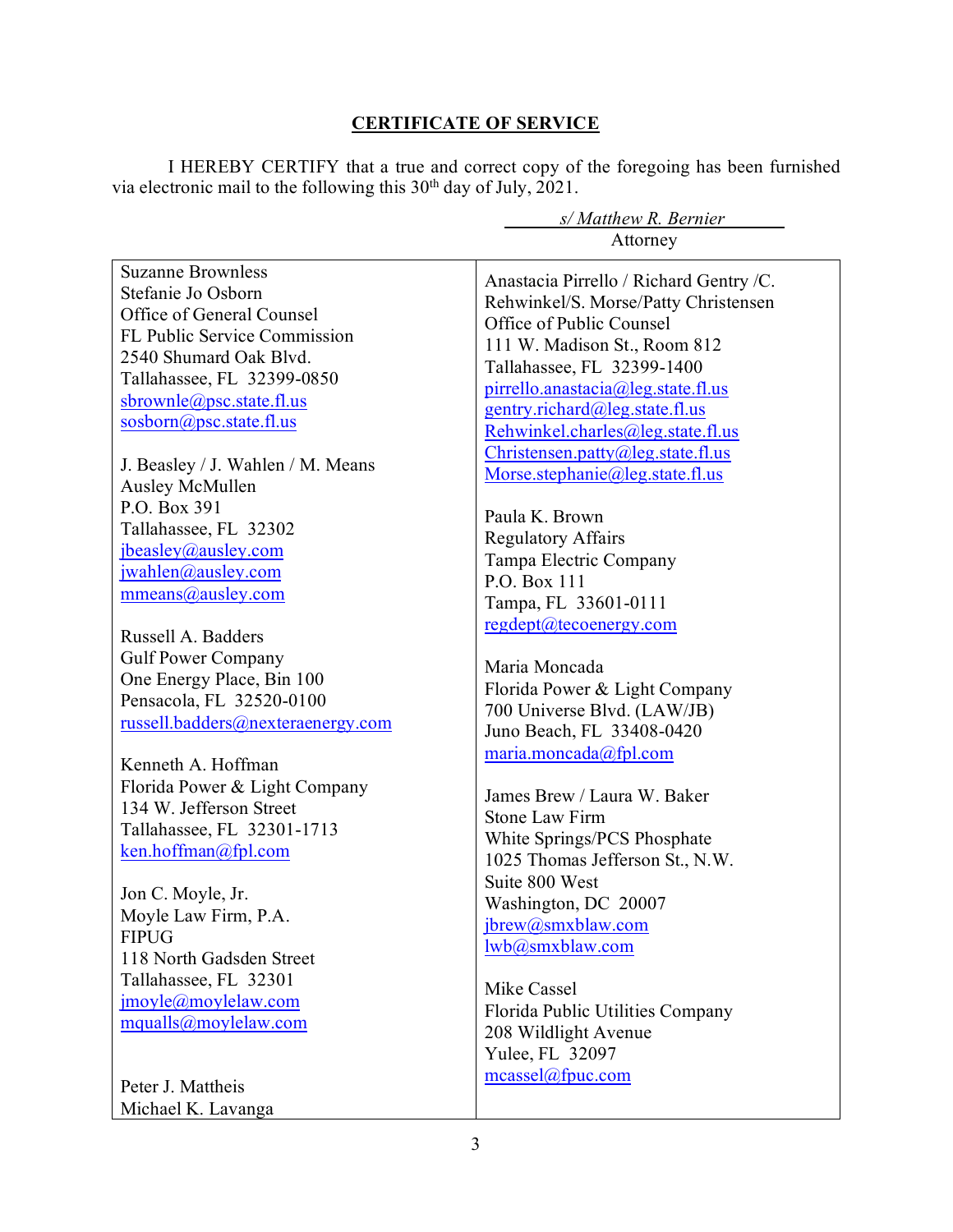# **CERTIFICATE OF SERVICE**

I HEREBY CERTIFY that a true and correct copy of the foregoing has been furnished via electronic mail to the following this 30<sup>th</sup> day of July, 2021.

|                                                                                                                                                                                                                                                                                                              | s/ Matthew R. Bernier                                                                                                                                                                                                                                                                                                                                                            |
|--------------------------------------------------------------------------------------------------------------------------------------------------------------------------------------------------------------------------------------------------------------------------------------------------------------|----------------------------------------------------------------------------------------------------------------------------------------------------------------------------------------------------------------------------------------------------------------------------------------------------------------------------------------------------------------------------------|
|                                                                                                                                                                                                                                                                                                              | Attorney                                                                                                                                                                                                                                                                                                                                                                         |
| <b>Suzanne Brownless</b><br>Stefanie Jo Osborn<br>Office of General Counsel<br>FL Public Service Commission<br>2540 Shumard Oak Blvd.<br>Tallahassee, FL 32399-0850<br>sbrownle@psc.state.fl.us<br>$soshorm(\omega)$ psc.state.fl.us<br>J. Beasley / J. Wahlen / M. Means<br>Ausley McMullen<br>P.O. Box 391 | Anastacia Pirrello / Richard Gentry /C.<br>Rehwinkel/S. Morse/Patty Christensen<br>Office of Public Counsel<br>111 W. Madison St., Room 812<br>Tallahassee, FL 32399-1400<br>pirrello.anastacia@leg.state.fl.us<br>gentry.richard@leg.state.fl.us<br>Rehwinkel.charles@leg.state.fl.us<br>Christensen.patty@leg.state.fl.us<br>Morse.stephanie@leg.state.fl.us<br>Paula K. Brown |
| Tallahassee, FL 32302<br>jbeasley@ausley.com<br>jwahlen@ausley.com<br>mmeans@ausley.com                                                                                                                                                                                                                      | <b>Regulatory Affairs</b><br>Tampa Electric Company<br>P.O. Box 111<br>Tampa, FL 33601-0111<br>regdept@tecoenergy.com                                                                                                                                                                                                                                                            |
| Russell A. Badders<br><b>Gulf Power Company</b><br>One Energy Place, Bin 100<br>Pensacola, FL 32520-0100<br>russell.badders@nexteraenergy.com                                                                                                                                                                | Maria Moncada<br>Florida Power & Light Company<br>700 Universe Blvd. (LAW/JB)<br>Juno Beach, FL 33408-0420<br>maria.moncada@fpl.com                                                                                                                                                                                                                                              |
| Kenneth A. Hoffman<br>Florida Power & Light Company<br>134 W. Jefferson Street<br>Tallahassee, FL 32301-1713<br>ken.hoffman@fpl.com<br>Jon C. Moyle, Jr.                                                                                                                                                     | James Brew / Laura W. Baker<br><b>Stone Law Firm</b><br>White Springs/PCS Phosphate<br>1025 Thomas Jefferson St., N.W.<br>Suite 800 West                                                                                                                                                                                                                                         |
| Moyle Law Firm, P.A.<br><b>FIPUG</b><br>118 North Gadsden Street<br>Tallahassee, FL 32301<br>jmoyle@moylelaw.com<br>mqualls@moylelaw.com                                                                                                                                                                     | Washington, DC 20007<br>jbrew@smxblaw.com<br>lwb@smxblaw.com<br>Mike Cassel<br>Florida Public Utilities Company<br>208 Wildlight Avenue<br>Yulee, FL 32097                                                                                                                                                                                                                       |
| Peter J. Mattheis<br>Michael K. Lavanga                                                                                                                                                                                                                                                                      | meassel@fpuc.com                                                                                                                                                                                                                                                                                                                                                                 |